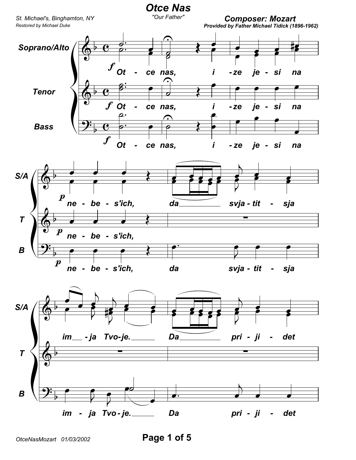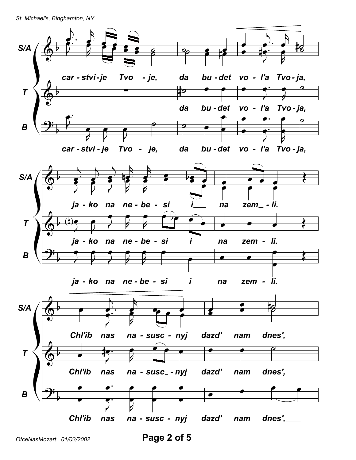St. Michael's, Binghamton, NY



Page 2 of 5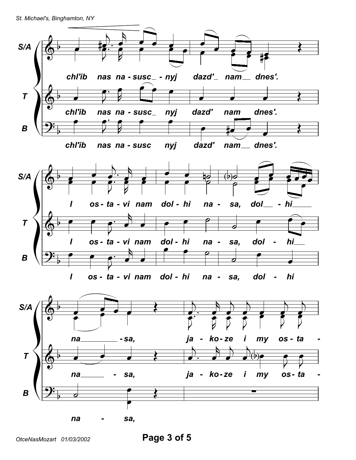St. Michael's, Binghamton, NY

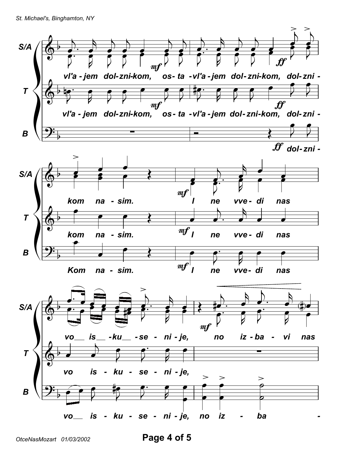